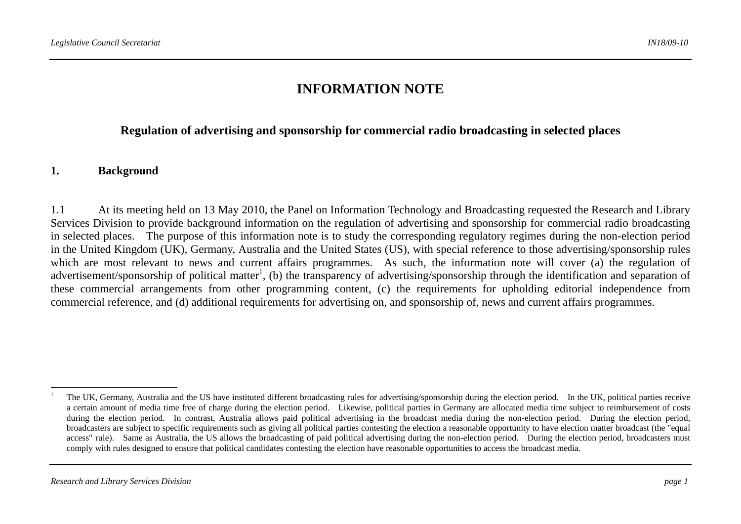# **INFORMATION NOTE**

#### **Regulation of advertising and sponsorship for commercial radio broadcasting in selected places**

#### **1. Background**

1.1 At its meeting held on 13 May 2010, the Panel on Information Technology and Broadcasting requested the Research and Library Services Division to provide background information on the regulation of advertising and sponsorship for commercial radio broadcasting in selected places. The purpose of this information note is to study the corresponding regulatory regimes during the non-election period in the United Kingdom (UK), Germany, Australia and the United States (US), with special reference to those advertising/sponsorship rules which are most relevant to news and current affairs programmes. As such, the information note will cover (a) the regulation of advertisement/sponsorship of political matter<sup>1</sup>, (b) the transparency of advertising/sponsorship through the identification and separation of these commercial arrangements from other programming content, (c) the requirements for upholding editorial independence from commercial reference, and (d) additional requirements for advertising on, and sponsorship of, news and current affairs programmes.

<sup>1</sup> The UK, Germany, Australia and the US have instituted different broadcasting rules for advertising/sponsorship during the election period. In the UK, political parties receive a certain amount of media time free of charge during the election period. Likewise, political parties in Germany are allocated media time subject to reimbursement of costs during the election period. In contrast, Australia allows paid political advertising in the broadcast media during the non-election period. During the election period, broadcasters are subject to specific requirements such as giving all political parties contesting the election a reasonable opportunity to have election matter broadcast (the "equal access" rule). Same as Australia, the US allows the broadcasting of paid political advertising during the non-election period. During the election period, broadcasters must comply with rules designed to ensure that political candidates contesting the election have reasonable opportunities to access the broadcast media.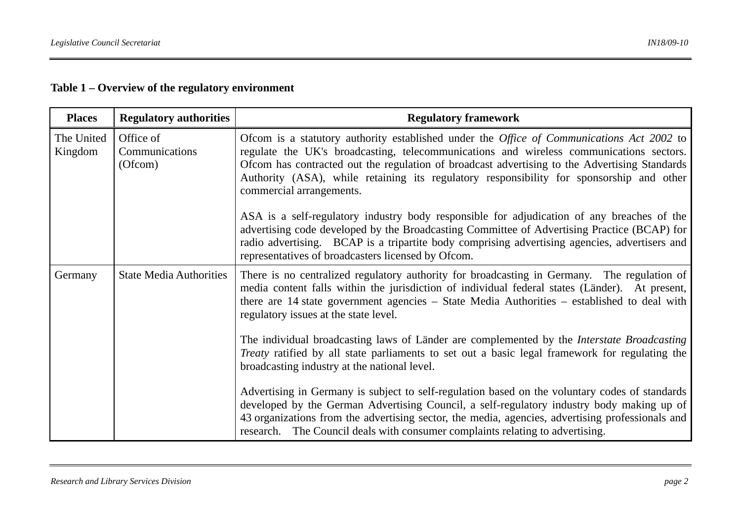# **Table 1 – Overview of the regulatory environment**

| <b>Places</b>         | <b>Regulatory authorities</b>          | <b>Regulatory framework</b>                                                                                                                                                                                                                                                                                                                                                                                                                                                                                                                                                                                                                                                                                                                                       |
|-----------------------|----------------------------------------|-------------------------------------------------------------------------------------------------------------------------------------------------------------------------------------------------------------------------------------------------------------------------------------------------------------------------------------------------------------------------------------------------------------------------------------------------------------------------------------------------------------------------------------------------------------------------------------------------------------------------------------------------------------------------------------------------------------------------------------------------------------------|
| The United<br>Kingdom | Office of<br>Communications<br>(Ofcom) | Ofcom is a statutory authority established under the Office of Communications Act 2002 to<br>regulate the UK's broadcasting, telecommunications and wireless communications sectors.<br>Ofcom has contracted out the regulation of broadcast advertising to the Advertising Standards<br>Authority (ASA), while retaining its regulatory responsibility for sponsorship and other<br>commercial arrangements.<br>ASA is a self-regulatory industry body responsible for adjudication of any breaches of the<br>advertising code developed by the Broadcasting Committee of Advertising Practice (BCAP) for<br>radio advertising. BCAP is a tripartite body comprising advertising agencies, advertisers and<br>representatives of broadcasters licensed by Ofcom. |
| Germany               | <b>State Media Authorities</b>         | There is no centralized regulatory authority for broadcasting in Germany. The regulation of<br>media content falls within the jurisdiction of individual federal states (Länder). At present,<br>there are 14 state government agencies – State Media Authorities – established to deal with<br>regulatory issues at the state level.                                                                                                                                                                                                                                                                                                                                                                                                                             |
|                       |                                        | The individual broadcasting laws of Länder are complemented by the <i>Interstate Broadcasting</i><br><i>Treaty</i> ratified by all state parliaments to set out a basic legal framework for regulating the<br>broadcasting industry at the national level.                                                                                                                                                                                                                                                                                                                                                                                                                                                                                                        |
|                       |                                        | Advertising in Germany is subject to self-regulation based on the voluntary codes of standards<br>developed by the German Advertising Council, a self-regulatory industry body making up of<br>43 organizations from the advertising sector, the media, agencies, advertising professionals and<br>research. The Council deals with consumer complaints relating to advertising.                                                                                                                                                                                                                                                                                                                                                                                  |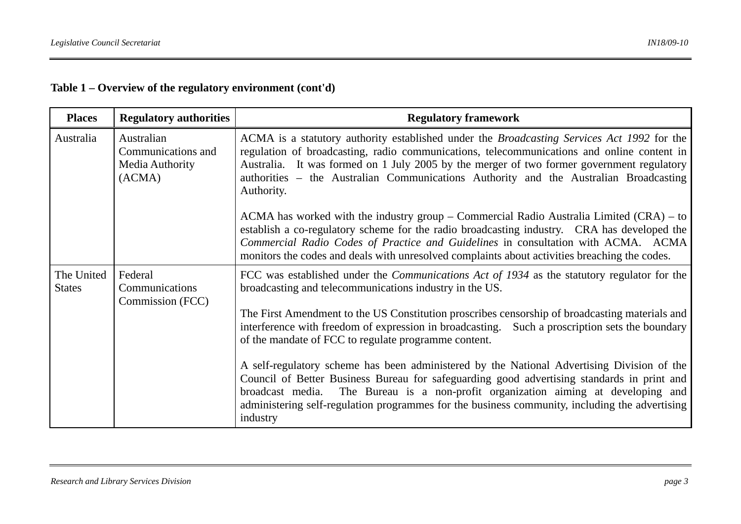| Table $1$ – Overview of the regulatory environment (cont'd) |  |  |
|-------------------------------------------------------------|--|--|
|-------------------------------------------------------------|--|--|

| <b>Places</b>               | <b>Regulatory authorities</b>                                 | <b>Regulatory framework</b>                                                                                                                                                                                                                                                                                                                                                                         |
|-----------------------------|---------------------------------------------------------------|-----------------------------------------------------------------------------------------------------------------------------------------------------------------------------------------------------------------------------------------------------------------------------------------------------------------------------------------------------------------------------------------------------|
| Australia                   | Australian<br>Communications and<br>Media Authority<br>(ACMA) | ACMA is a statutory authority established under the <i>Broadcasting Services Act 1992</i> for the<br>regulation of broadcasting, radio communications, telecommunications and online content in<br>Australia. It was formed on 1 July 2005 by the merger of two former government regulatory<br>authorities – the Australian Communications Authority and the Australian Broadcasting<br>Authority. |
|                             |                                                               | ACMA has worked with the industry group – Commercial Radio Australia Limited $(CRA)$ – to<br>establish a co-regulatory scheme for the radio broadcasting industry. CRA has developed the<br>Commercial Radio Codes of Practice and Guidelines in consultation with ACMA. ACMA<br>monitors the codes and deals with unresolved complaints about activities breaching the codes.                      |
| The United<br><b>States</b> | Federal<br>Communications<br>Commission (FCC)                 | FCC was established under the <i>Communications Act of 1934</i> as the statutory regulator for the<br>broadcasting and telecommunications industry in the US.                                                                                                                                                                                                                                       |
|                             |                                                               | The First Amendment to the US Constitution proscribes censorship of broadcasting materials and<br>interference with freedom of expression in broadcasting. Such a proscription sets the boundary<br>of the mandate of FCC to regulate programme content.                                                                                                                                            |
|                             |                                                               | A self-regulatory scheme has been administered by the National Advertising Division of the<br>Council of Better Business Bureau for safeguarding good advertising standards in print and<br>broadcast media. The Bureau is a non-profit organization aiming at developing and<br>administering self-regulation programmes for the business community, including the advertising<br>industry         |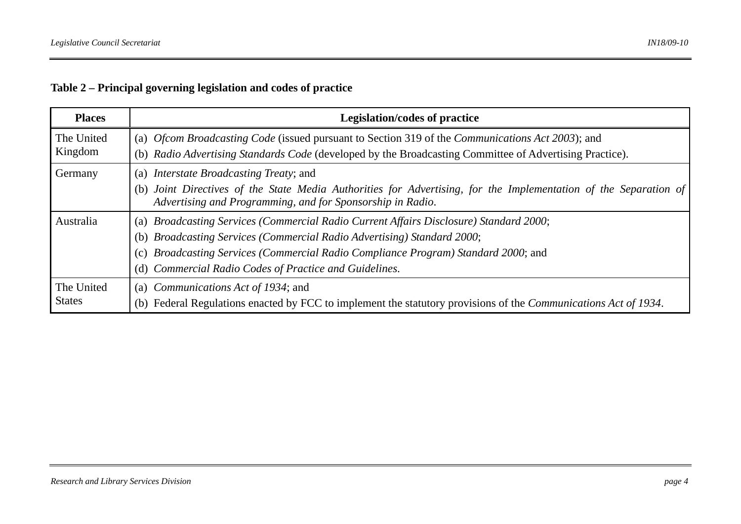# **Table 2 – Principal governing legislation and codes of practice**

| <b>Places</b> | Legislation/codes of practice                                                                                                                                                  |
|---------------|--------------------------------------------------------------------------------------------------------------------------------------------------------------------------------|
| The United    | (a) Ofcom Broadcasting Code (issued pursuant to Section 319 of the Communications Act 2003); and                                                                               |
| Kingdom       | (b) Radio Advertising Standards Code (developed by the Broadcasting Committee of Advertising Practice).                                                                        |
| Germany       | (a) <i>Interstate Broadcasting Treaty</i> ; and                                                                                                                                |
|               | (b) Joint Directives of the State Media Authorities for Advertising, for the Implementation of the Separation of<br>Advertising and Programming, and for Sponsorship in Radio. |
| Australia     | Broadcasting Services (Commercial Radio Current Affairs Disclosure) Standard 2000;<br>(a)                                                                                      |
|               | (b) Broadcasting Services (Commercial Radio Advertising) Standard 2000;                                                                                                        |
|               | Broadcasting Services (Commercial Radio Compliance Program) Standard 2000; and<br>(c)                                                                                          |
|               | Commercial Radio Codes of Practice and Guidelines.<br>(d)                                                                                                                      |
| The United    | (a) <i>Communications Act of 1934</i> ; and                                                                                                                                    |
| <b>States</b> | Federal Regulations enacted by FCC to implement the statutory provisions of the <i>Communications Act of 1934</i> .<br>(b)                                                     |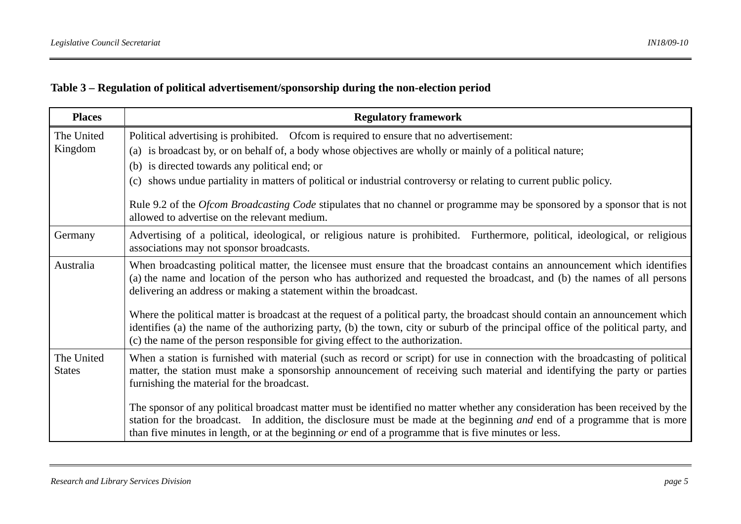# **Table 3 – Regulation of political advertisement/sponsorship during the non-election period**

| <b>Places</b>               | <b>Regulatory framework</b>                                                                                                                                                                                                                                                                                                                                                                                                                                                                                                                                                                                                                                                           |
|-----------------------------|---------------------------------------------------------------------------------------------------------------------------------------------------------------------------------------------------------------------------------------------------------------------------------------------------------------------------------------------------------------------------------------------------------------------------------------------------------------------------------------------------------------------------------------------------------------------------------------------------------------------------------------------------------------------------------------|
| The United<br>Kingdom       | Political advertising is prohibited. Of come is required to ensure that no advertisement:<br>(a) is broadcast by, or on behalf of, a body whose objectives are wholly or mainly of a political nature;<br>(b) is directed towards any political end; or<br>(c) shows undue partiality in matters of political or industrial controversy or relating to current public policy.<br>Rule 9.2 of the Ofcom Broadcasting Code stipulates that no channel or programme may be sponsored by a sponsor that is not<br>allowed to advertise on the relevant medium.                                                                                                                            |
| Germany                     | Advertising of a political, ideological, or religious nature is prohibited. Furthermore, political, ideological, or religious<br>associations may not sponsor broadcasts.                                                                                                                                                                                                                                                                                                                                                                                                                                                                                                             |
| Australia                   | When broadcasting political matter, the licensee must ensure that the broadcast contains an announcement which identifies<br>(a) the name and location of the person who has authorized and requested the broadcast, and (b) the names of all persons<br>delivering an address or making a statement within the broadcast.<br>Where the political matter is broadcast at the request of a political party, the broadcast should contain an announcement which<br>identifies (a) the name of the authorizing party, (b) the town, city or suburb of the principal office of the political party, and<br>(c) the name of the person responsible for giving effect to the authorization. |
| The United<br><b>States</b> | When a station is furnished with material (such as record or script) for use in connection with the broadcasting of political<br>matter, the station must make a sponsorship announcement of receiving such material and identifying the party or parties<br>furnishing the material for the broadcast.<br>The sponsor of any political broadcast matter must be identified no matter whether any consideration has been received by the<br>station for the broadcast. In addition, the disclosure must be made at the beginning and end of a programme that is more<br>than five minutes in length, or at the beginning or end of a programme that is five minutes or less.          |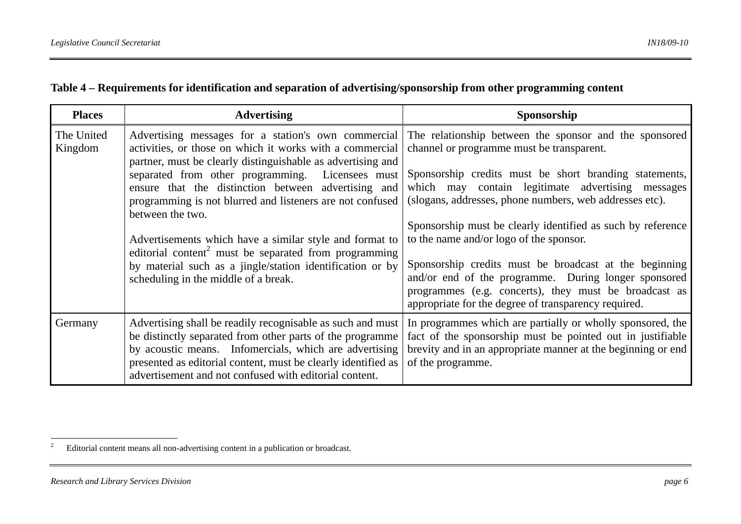| <b>Places</b>         | <b>Advertising</b>                                                                                                                                                                                                                                                                                                                                                                                                                                                                                                                                                                                              | Sponsorship                                                                                                                                                                                                                                                                                                                                                                                                                                                                                                                                                                                                                |
|-----------------------|-----------------------------------------------------------------------------------------------------------------------------------------------------------------------------------------------------------------------------------------------------------------------------------------------------------------------------------------------------------------------------------------------------------------------------------------------------------------------------------------------------------------------------------------------------------------------------------------------------------------|----------------------------------------------------------------------------------------------------------------------------------------------------------------------------------------------------------------------------------------------------------------------------------------------------------------------------------------------------------------------------------------------------------------------------------------------------------------------------------------------------------------------------------------------------------------------------------------------------------------------------|
| The United<br>Kingdom | Advertising messages for a station's own commercial<br>activities, or those on which it works with a commercial<br>partner, must be clearly distinguishable as advertising and<br>separated from other programming. Licensees must<br>ensure that the distinction between advertising and<br>programming is not blurred and listeners are not confused<br>between the two.<br>Advertisements which have a similar style and format to<br>editorial content <sup>2</sup> must be separated from programming<br>by material such as a jingle/station identification or by<br>scheduling in the middle of a break. | The relationship between the sponsor and the sponsored<br>channel or programme must be transparent.<br>Sponsorship credits must be short branding statements,<br>which may contain legitimate advertising messages<br>(slogans, addresses, phone numbers, web addresses etc).<br>Sponsorship must be clearly identified as such by reference<br>to the name and/or logo of the sponsor.<br>Sponsorship credits must be broadcast at the beginning<br>and/or end of the programme. During longer sponsored<br>programmes (e.g. concerts), they must be broadcast as<br>appropriate for the degree of transparency required. |
| Germany               | Advertising shall be readily recognisable as such and must<br>be distinctly separated from other parts of the programme<br>by acoustic means. Infomercials, which are advertising<br>presented as editorial content, must be clearly identified as<br>advertisement and not confused with editorial content.                                                                                                                                                                                                                                                                                                    | In programmes which are partially or wholly sponsored, the<br>fact of the sponsorship must be pointed out in justifiable<br>brevity and in an appropriate manner at the beginning or end<br>of the programme.                                                                                                                                                                                                                                                                                                                                                                                                              |

<sup>&</sup>lt;sup>2</sup> Editorial content means all non-advertising content in a publication or broadcast.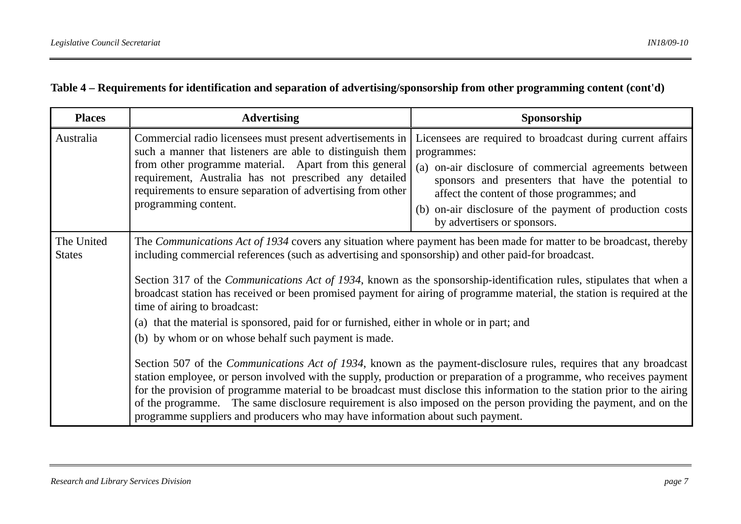#### **Table 4 – Requirements for identification and separation of advertising/sponsorship from other programming content (cont'd)**

| <b>Places</b>               | <b>Advertising</b>                                                                                                                                                                                                                                                                                                                                                                                                                                                                                                                                                                                                                                                                                                                                                                                                                                                                                                                                                                                                                                                                                                                                                                                                                                                    | Sponsorship                                                                                                                                                                                                                                                                                                                         |  |  |
|-----------------------------|-----------------------------------------------------------------------------------------------------------------------------------------------------------------------------------------------------------------------------------------------------------------------------------------------------------------------------------------------------------------------------------------------------------------------------------------------------------------------------------------------------------------------------------------------------------------------------------------------------------------------------------------------------------------------------------------------------------------------------------------------------------------------------------------------------------------------------------------------------------------------------------------------------------------------------------------------------------------------------------------------------------------------------------------------------------------------------------------------------------------------------------------------------------------------------------------------------------------------------------------------------------------------|-------------------------------------------------------------------------------------------------------------------------------------------------------------------------------------------------------------------------------------------------------------------------------------------------------------------------------------|--|--|
| Australia                   | Commercial radio licensees must present advertisements in<br>such a manner that listeners are able to distinguish them<br>from other programme material. Apart from this general<br>requirement, Australia has not prescribed any detailed<br>requirements to ensure separation of advertising from other<br>programming content.                                                                                                                                                                                                                                                                                                                                                                                                                                                                                                                                                                                                                                                                                                                                                                                                                                                                                                                                     | Licensees are required to broadcast during current affairs<br>programmes:<br>(a) on-air disclosure of commercial agreements between<br>sponsors and presenters that have the potential to<br>affect the content of those programmes; and<br>(b) on-air disclosure of the payment of production costs<br>by advertisers or sponsors. |  |  |
| The United<br><b>States</b> | The Communications Act of 1934 covers any situation where payment has been made for matter to be broadcast, thereby<br>including commercial references (such as advertising and sponsorship) and other paid-for broadcast.<br>Section 317 of the <i>Communications Act of 1934</i> , known as the sponsorship-identification rules, stipulates that when a<br>broadcast station has received or been promised payment for airing of programme material, the station is required at the<br>time of airing to broadcast:<br>(a) that the material is sponsored, paid for or furnished, either in whole or in part; and<br>(b) by whom or on whose behalf such payment is made.<br>Section 507 of the <i>Communications Act of 1934</i> , known as the payment-disclosure rules, requires that any broadcast<br>station employee, or person involved with the supply, production or preparation of a programme, who receives payment<br>for the provision of programme material to be broadcast must disclose this information to the station prior to the airing<br>of the programme. The same disclosure requirement is also imposed on the person providing the payment, and on the<br>programme suppliers and producers who may have information about such payment. |                                                                                                                                                                                                                                                                                                                                     |  |  |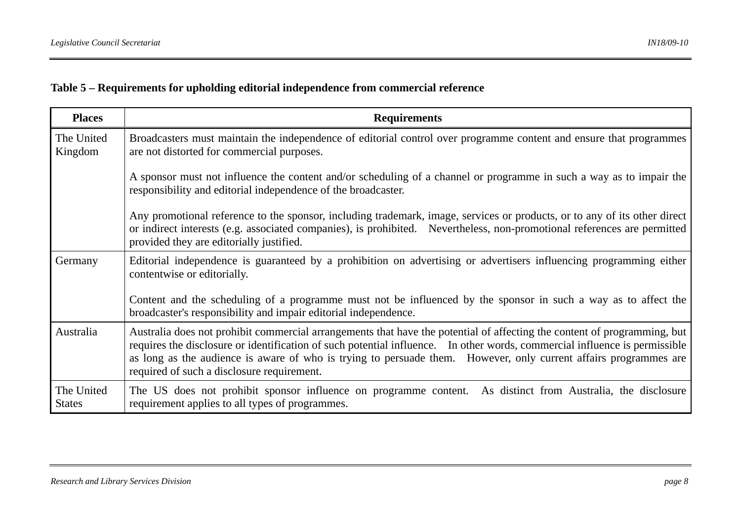# **Table 5 – Requirements for upholding editorial independence from commercial reference**

| <b>Places</b>               | <b>Requirements</b>                                                                                                                                                                                                                                                                                                                                                                                                      |
|-----------------------------|--------------------------------------------------------------------------------------------------------------------------------------------------------------------------------------------------------------------------------------------------------------------------------------------------------------------------------------------------------------------------------------------------------------------------|
| The United<br>Kingdom       | Broadcasters must maintain the independence of editorial control over programme content and ensure that programmes<br>are not distorted for commercial purposes.                                                                                                                                                                                                                                                         |
|                             | A sponsor must not influence the content and/or scheduling of a channel or programme in such a way as to impair the<br>responsibility and editorial independence of the broadcaster.                                                                                                                                                                                                                                     |
|                             | Any promotional reference to the sponsor, including trademark, image, services or products, or to any of its other direct<br>or indirect interests (e.g. associated companies), is prohibited. Nevertheless, non-promotional references are permitted<br>provided they are editorially justified.                                                                                                                        |
| Germany                     | Editorial independence is guaranteed by a prohibition on advertising or advertisers influencing programming either<br>contentwise or editorially.                                                                                                                                                                                                                                                                        |
|                             | Content and the scheduling of a programme must not be influenced by the sponsor in such a way as to affect the<br>broadcaster's responsibility and impair editorial independence.                                                                                                                                                                                                                                        |
| Australia                   | Australia does not prohibit commercial arrangements that have the potential of affecting the content of programming, but<br>requires the disclosure or identification of such potential influence. In other words, commercial influence is permissible<br>as long as the audience is aware of who is trying to persuade them. However, only current affairs programmes are<br>required of such a disclosure requirement. |
| The United<br><b>States</b> | The US does not prohibit sponsor influence on programme content. As distinct from Australia, the disclosure<br>requirement applies to all types of programmes.                                                                                                                                                                                                                                                           |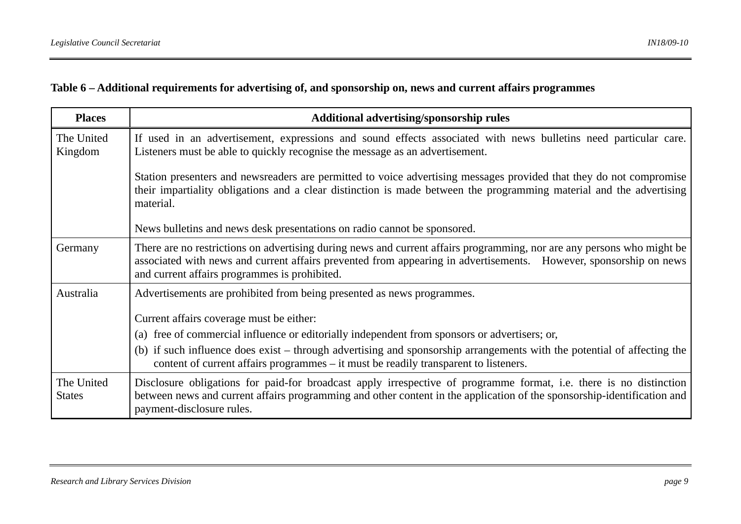#### **Table 6 – Additional requirements for advertising of, and sponsorship on, news and current affairs programmes**

| <b>Places</b>               | Additional advertising/sponsorship rules                                                                                                                                                                                                                                                     |
|-----------------------------|----------------------------------------------------------------------------------------------------------------------------------------------------------------------------------------------------------------------------------------------------------------------------------------------|
| The United<br>Kingdom       | If used in an advertisement, expressions and sound effects associated with news bulletins need particular care.<br>Listeners must be able to quickly recognise the message as an advertisement.                                                                                              |
|                             | Station presenters and newsreaders are permitted to voice advertising messages provided that they do not compromise<br>their impartiality obligations and a clear distinction is made between the programming material and the advertising<br>material.                                      |
|                             | News bulletins and news desk presentations on radio cannot be sponsored.                                                                                                                                                                                                                     |
| Germany                     | There are no restrictions on advertising during news and current affairs programming, nor are any persons who might be<br>associated with news and current affairs prevented from appearing in advertisements. However, sponsorship on news<br>and current affairs programmes is prohibited. |
| Australia                   | Advertisements are prohibited from being presented as news programmes.                                                                                                                                                                                                                       |
|                             | Current affairs coverage must be either:                                                                                                                                                                                                                                                     |
|                             | (a) free of commercial influence or editorially independent from sponsors or advertisers; or,                                                                                                                                                                                                |
|                             | (b) if such influence does exist – through advertising and sponsorship arrangements with the potential of affecting the<br>content of current affairs programmes – it must be readily transparent to listeners.                                                                              |
| The United<br><b>States</b> | Disclosure obligations for paid-for broadcast apply irrespective of programme format, i.e. there is no distinction<br>between news and current affairs programming and other content in the application of the sponsorship-identification and<br>payment-disclosure rules.                   |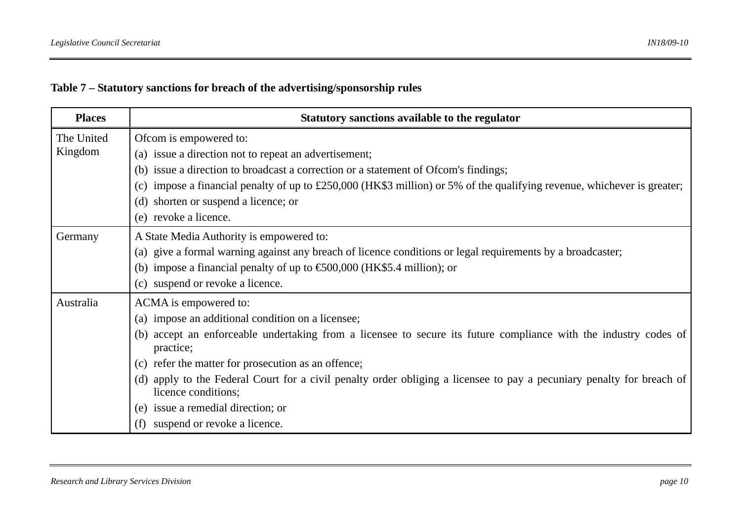|  | Table 7 – Statutory sanctions for breach of the advertising/sponsorship rules |  |  |  |
|--|-------------------------------------------------------------------------------|--|--|--|
|  |                                                                               |  |  |  |

| <b>Places</b>         | Statutory sanctions available to the regulator                                                                                               |
|-----------------------|----------------------------------------------------------------------------------------------------------------------------------------------|
| The United<br>Kingdom | Ofcom is empowered to:<br>(a) issue a direction not to repeat an advertisement;                                                              |
|                       | (b) issue a direction to broadcast a correction or a statement of Ofcom's findings;                                                          |
|                       | (c) impose a financial penalty of up to $£250,000$ (HK\$3 million) or 5% of the qualifying revenue, whichever is greater;                    |
|                       | (d) shorten or suspend a licence; or                                                                                                         |
|                       | (e) revoke a licence.                                                                                                                        |
| Germany               | A State Media Authority is empowered to:                                                                                                     |
|                       | (a) give a formal warning against any breach of licence conditions or legal requirements by a broadcaster;                                   |
|                       | (b) impose a financial penalty of up to $\text{\textsterling}00,000$ (HK\$5.4 million); or                                                   |
|                       | (c) suspend or revoke a licence.                                                                                                             |
| Australia             | ACMA is empowered to:                                                                                                                        |
|                       | (a) impose an additional condition on a licensee;                                                                                            |
|                       | (b) accept an enforceable undertaking from a licensee to secure its future compliance with the industry codes of<br>practice;                |
|                       | (c) refer the matter for prosecution as an offence;                                                                                          |
|                       | (d) apply to the Federal Court for a civil penalty order obliging a licensee to pay a pecuniary penalty for breach of<br>licence conditions; |
|                       | issue a remedial direction; or<br>(e)                                                                                                        |
|                       | suspend or revoke a licence.                                                                                                                 |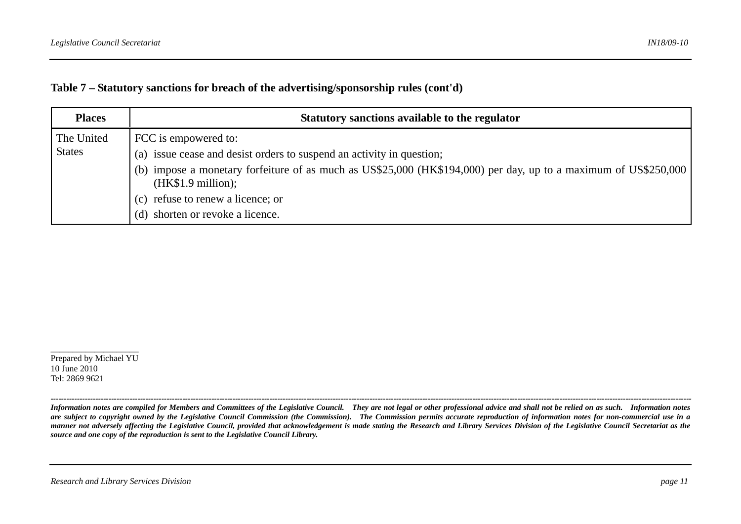|  |  |  | Table 7 – Statutory sanctions for breach of the advertising/sponsorship rules (cont'd) |  |
|--|--|--|----------------------------------------------------------------------------------------|--|
|  |  |  |                                                                                        |  |

| <b>Places</b>               | Statutory sanctions available to the regulator                                                                                                                                                                                                                                                                  |  |  |  |  |
|-----------------------------|-----------------------------------------------------------------------------------------------------------------------------------------------------------------------------------------------------------------------------------------------------------------------------------------------------------------|--|--|--|--|
| The United<br><b>States</b> | FCC is empowered to:<br>(a) issue cease and desist orders to suspend an activity in question;<br>(b) impose a monetary forfeiture of as much as US\$25,000 (HK\$194,000) per day, up to a maximum of US\$250,000<br>(HK\$1.9 million);<br>(c) refuse to renew a licence; or<br>(d) shorten or revoke a licence. |  |  |  |  |

Prepared by Michael YU 10 June 2010 Tel: 2869 9621

*Information notes are compiled for Members and Committees of the Legislative Council. They are not legal or other professional advice and shall not be relied on as such. Information notes are subject to copyright owned by the Legislative Council Commission (the Commission). The Commission permits accurate reproduction of information notes for non-commercial use in a manner not adversely affecting the Legislative Council, provided that acknowledgement is made stating the Research and Library Services Division of the Legislative Council Secretariat as the source and one copy of the reproduction is sent to the Legislative Council Library.* 

*---------------------------------------------------------------------------------------------------------------------------------------------------------------------------------------------------------------------------------------------------*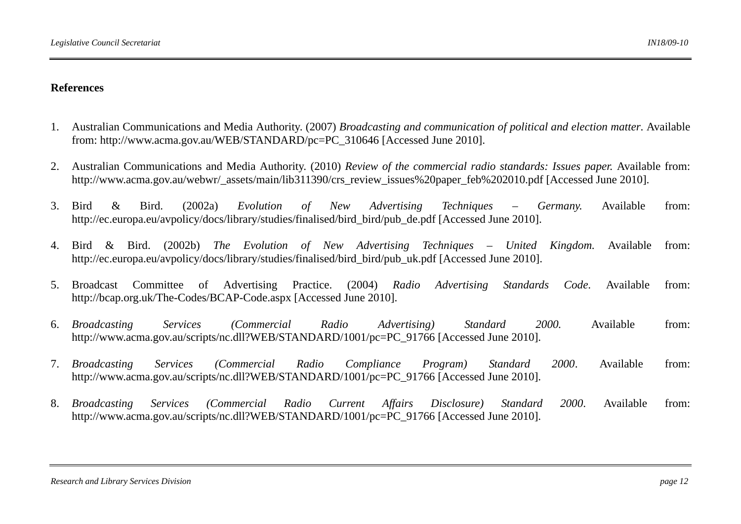#### **References**

- 1. Australian Communications and Media Authority. (2007) *Broadcasting and communication of political and election matter*. Available from: http://www.acma.gov.au/WEB/STANDARD/pc=PC\_310646 [Accessed June 2010].
- 2. Australian Communications and Media Authority. (2010) *Review of the commercial radio standards: Issues paper.* Available from: http://www.acma.gov.au/webwr/\_assets/main/lib311390/crs\_review\_issues%20paper\_feb%202010.pdf [Accessed June 2010].
- 3. Bird & Bird. (2002a) *Evolution of New Advertising Techniques – Germany.* Available from: http://ec.europa.eu/avpolicy/docs/library/studies/finalised/bird\_bird/pub\_de.pdf [Accessed June 2010].
- 4. Bird & Bird. (2002b) *The Evolution of New Advertising Techniques United Kingdom.* Available from: http://ec.europa.eu/avpolicy/docs/library/studies/finalised/bird\_bird/pub\_uk.pdf [Accessed June 2010].
- 5. Broadcast Committee of Advertising Practice. (2004) *Radio Advertising Standards Code*. Available from: http://bcap.org.uk/The-Codes/BCAP-Code.aspx [Accessed June 2010].
- 6. *Broadcasting Services (Commercial Radio Advertising) Standard 2000.* Available from: http://www.acma.gov.au/scripts/nc.dll?WEB/STANDARD/1001/pc=PC\_91766 [Accessed June 2010].
- 7. *Broadcasting Services (Commercial Radio Compliance Program) Standard 2000*. Available from: http://www.acma.gov.au/scripts/nc.dll?WEB/STANDARD/1001/pc=PC\_91766 [Accessed June 2010].
- 8. *Broadcasting Services (Commercial Radio Current Affairs Disclosure) Standard 2000*. Available from: http://www.acma.gov.au/scripts/nc.dll?WEB/STANDARD/1001/pc=PC\_91766 [Accessed June 2010].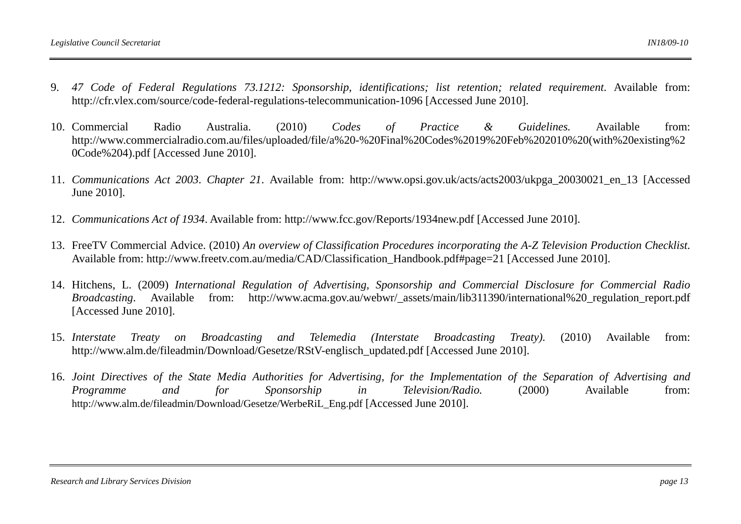- 9. *47 Code of Federal Regulations 73.1212: Sponsorship, identifications; list retention; related requirement*. Available from: http://cfr.vlex.com/source/code-federal-regulations-telecommunication-1096 [Accessed June 2010].
- 10. Commercial Commercial Radio Australia. (2010) *Codes of Practice & Guidelines.* Available from: http://www.commercialradio.com.au/files/uploaded/file/a%20-%20Final%20Codes%2019%20Feb%202010%20(with%20existing%2 0Code%204).pdf [Accessed June 2010].
- 11. *Communications Act 2003*. *Chapter 21*. Available from: http://www.opsi.gov.uk/acts/acts2003/ukpga\_20030021\_en\_13 [Accessed June 2010].
- 12. *Communications Act of 1934*. Available from: http://www.fcc.gov/Reports/1934new.pdf [Accessed June 2010].
- 13. FreeTV Commercial Advice. (2010) *An overview of Classification Procedures incorporating the A-Z Television Production Checklist*. Available from: http://www.freetv.com.au/media/CAD/Classification\_Handbook.pdf#page=21 [Accessed June 2010].
- 14. Hitchens, L. (2009) *International Regulation of Advertising, Sponsorship and Commercial Disclosure for Commercial Radio Broadcasting*. Available from: http://www.acma.gov.au/webwr/ assets/main/lib311390/international%20 regulation report.pdf [Accessed June 2010].
- 15. Interstate *Interstate Treaty on Broadcasting and Telemedia (Interstate Broadcasting Treaty).* (2010) Available from: http://www.alm.de/fileadmin/Download/Gesetze/RStV-englisch\_updated.pdf [Accessed June 2010].
- 16. *Joint Directives of the State Media Authorities for Advertising, for the Implementation of the Separation of Advertising and Programme and for Sponsorship in Television/Radio.* (2000) Available from: http://www.alm.de/fileadmin/Download/Gesetze/WerbeRiL\_Eng.pdf [Accessed June 2010].